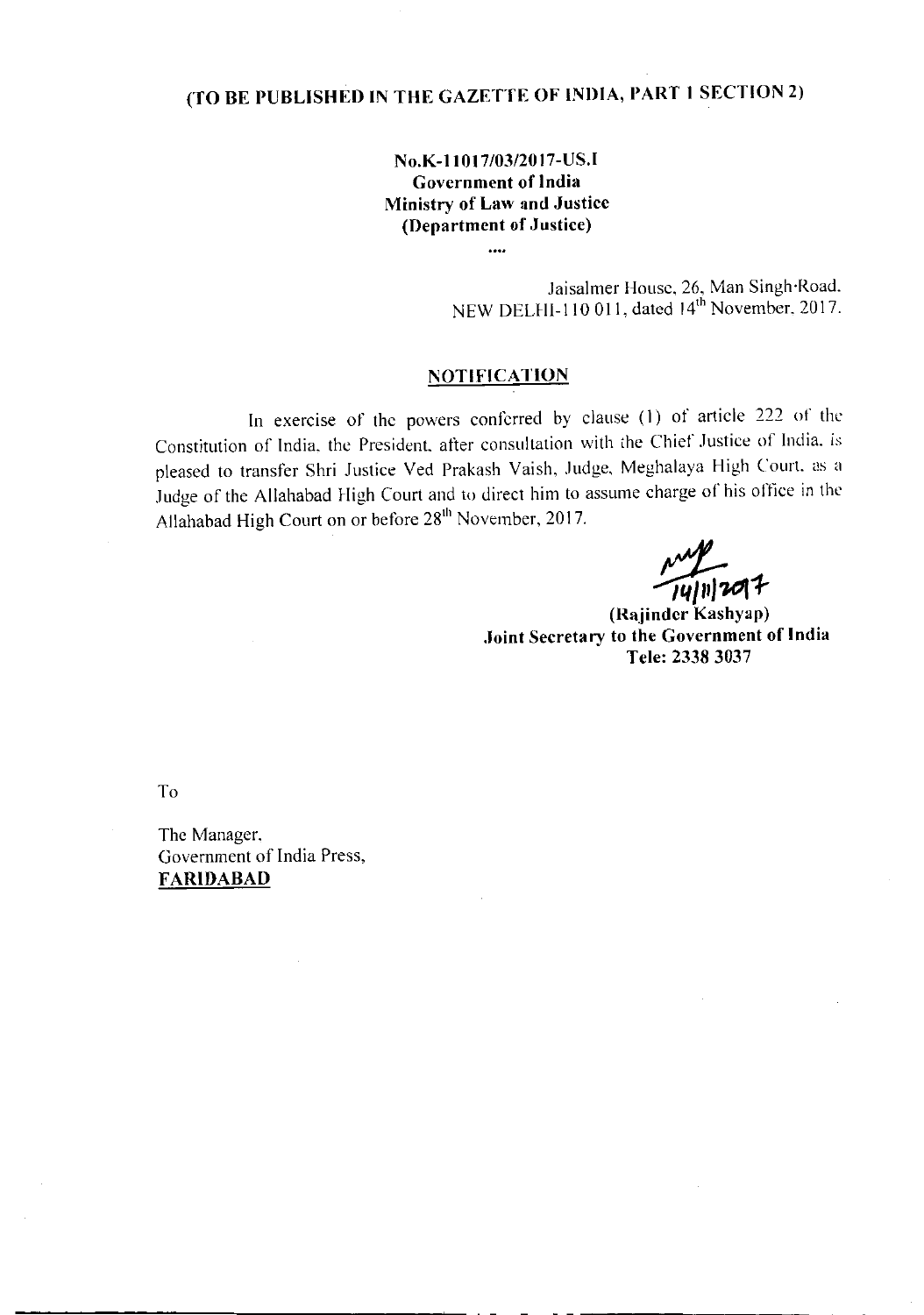## (TO BE PUBLISHED IN THE GAZETTE OF INDIA, PART 1 SECTION 2)

No.K-11017/03/2017-US.I Government of India Ministry of Law and Justice (Department of Justice)

 $\ddotsc$ 

Jaisalmer House, 26, Man Singh Road NEW DELHI-110 011, dated 14th November, 2017

## **NOTIFICATION**

In exercise of the powers conferred by clause (I) of article 222 of the Constitution of India, the President. after consultation with the Chief Justice of India. is pleased to transfer Shri Justice Ved Prakash Vaish, Judge, Meghalaya High Court. as a Judge of the Allahabad High Court and to direct him to assume charge of his office in the Allahabad High Court on or before 281h November, 2017.

14/11/2017

(Rajindcr Kashyap) .Joint Secretary to the Government of India Tele: 2338 3037

To

The Manager. Government of India Press, FARIDABAD